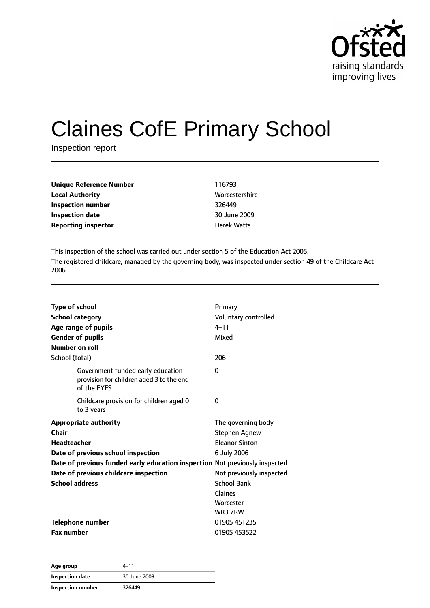

# Claines CofE Primary School

Inspection report

| Unique Reference Number    | 116793         |
|----------------------------|----------------|
| Local Authority            | Worcestershire |
| Inspection number          | 326449         |
| Inspection date            | 30 June 2009   |
| <b>Reporting inspector</b> | Derek Watts    |
|                            |                |

This inspection of the school was carried out under section 5 of the Education Act 2005. The registered childcare, managed by the governing body, was inspected under section 49 of the Childcare Act 2006.

| <b>Type of school</b><br><b>School category</b><br>Age range of pupils<br><b>Gender of pupils</b><br>Number on roll | Primary<br>Voluntary controlled<br>$4 - 11$<br>Mixed |
|---------------------------------------------------------------------------------------------------------------------|------------------------------------------------------|
| School (total)                                                                                                      | 206                                                  |
| Government funded early education<br>provision for children aged 3 to the end<br>of the EYFS                        | $\Omega$                                             |
| Childcare provision for children aged 0<br>to 3 years                                                               | 0                                                    |
| <b>Appropriate authority</b>                                                                                        | The governing body                                   |
| Chair                                                                                                               | <b>Stephen Agnew</b>                                 |
| <b>Headteacher</b>                                                                                                  | <b>Eleanor Sinton</b>                                |
| Date of previous school inspection                                                                                  | 6 July 2006                                          |
| Date of previous funded early education inspection Not previously inspected                                         |                                                      |
| Date of previous childcare inspection                                                                               | Not previously inspected                             |
| <b>School address</b>                                                                                               | <b>School Bank</b>                                   |
|                                                                                                                     | Claines                                              |
|                                                                                                                     | Worcester                                            |
|                                                                                                                     | WR3 7RW                                              |
| <b>Telephone number</b>                                                                                             | 01905 451235                                         |
| <b>Fax number</b>                                                                                                   | 01905 453522                                         |

| Age group         | 4–11         |  |
|-------------------|--------------|--|
| Inspection date   | 30 June 2009 |  |
| Inspection number | 326449       |  |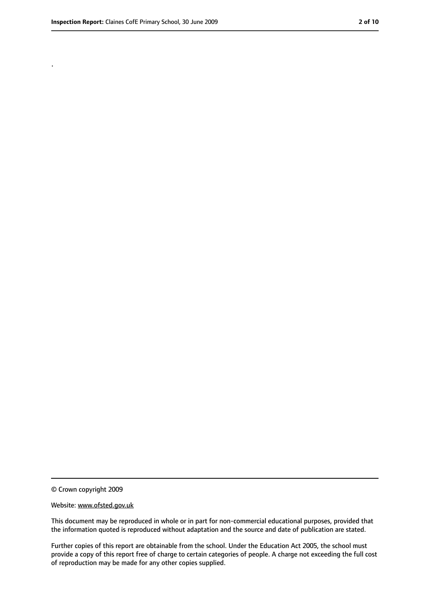.

<sup>©</sup> Crown copyright 2009

Website: www.ofsted.gov.uk

This document may be reproduced in whole or in part for non-commercial educational purposes, provided that the information quoted is reproduced without adaptation and the source and date of publication are stated.

Further copies of this report are obtainable from the school. Under the Education Act 2005, the school must provide a copy of this report free of charge to certain categories of people. A charge not exceeding the full cost of reproduction may be made for any other copies supplied.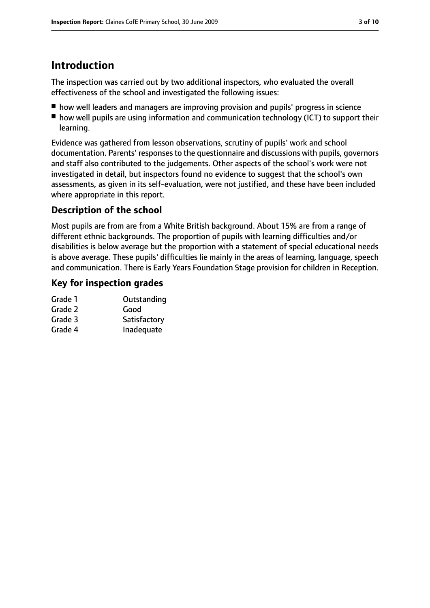# **Introduction**

The inspection was carried out by two additional inspectors, who evaluated the overall effectiveness of the school and investigated the following issues:

- how well leaders and managers are improving provision and pupils' progress in science
- how well pupils are using information and communication technology (ICT) to support their learning.

Evidence was gathered from lesson observations, scrutiny of pupils' work and school documentation. Parents' responses to the questionnaire and discussions with pupils, governors and staff also contributed to the judgements. Other aspects of the school's work were not investigated in detail, but inspectors found no evidence to suggest that the school's own assessments, as given in its self-evaluation, were not justified, and these have been included where appropriate in this report.

# **Description of the school**

Most pupils are from are from a White British background. About 15% are from a range of different ethnic backgrounds. The proportion of pupils with learning difficulties and/or disabilities is below average but the proportion with a statement of special educational needs is above average. These pupils' difficulties lie mainly in the areas of learning, language, speech and communication. There is Early Years Foundation Stage provision for children in Reception.

# **Key for inspection grades**

| Grade 1 | Outstanding  |
|---------|--------------|
| Grade 2 | Good         |
| Grade 3 | Satisfactory |
| Grade 4 | Inadequate   |
|         |              |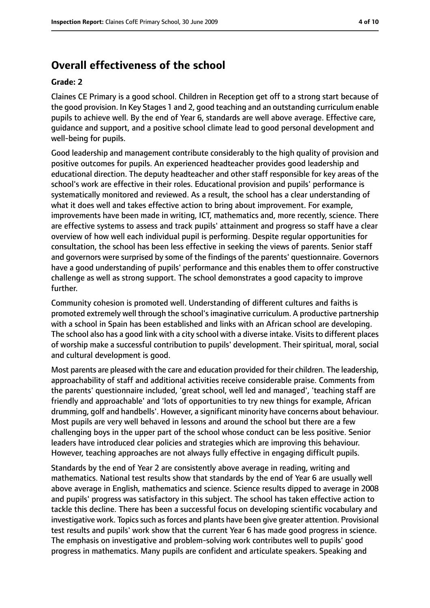# **Overall effectiveness of the school**

#### **Grade: 2**

Claines CE Primary is a good school. Children in Reception get off to a strong start because of the good provision. In Key Stages 1 and 2, good teaching and an outstanding curriculum enable pupils to achieve well. By the end of Year 6, standards are well above average. Effective care, guidance and support, and a positive school climate lead to good personal development and well-being for pupils.

Good leadership and management contribute considerably to the high quality of provision and positive outcomes for pupils. An experienced headteacher provides good leadership and educational direction. The deputy headteacher and other staff responsible for key areas of the school's work are effective in their roles. Educational provision and pupils' performance is systematically monitored and reviewed. As a result, the school has a clear understanding of what it does well and takes effective action to bring about improvement. For example, improvements have been made in writing, ICT, mathematics and, more recently, science. There are effective systems to assess and track pupils' attainment and progress so staff have a clear overview of how well each individual pupil is performing. Despite regular opportunities for consultation, the school has been less effective in seeking the views of parents. Senior staff and governors were surprised by some of the findings of the parents' questionnaire. Governors have a good understanding of pupils' performance and this enables them to offer constructive challenge as well as strong support. The school demonstrates a good capacity to improve further.

Community cohesion is promoted well. Understanding of different cultures and faiths is promoted extremely well through the school'simaginative curriculum. A productive partnership with a school in Spain has been established and links with an African school are developing. The school also has a good link with a city school with a diverse intake. Visits to different places of worship make a successful contribution to pupils' development. Their spiritual, moral, social and cultural development is good.

Most parents are pleased with the care and education provided for their children. The leadership, approachability of staff and additional activities receive considerable praise. Comments from the parents' questionnaire included, 'great school, well led and managed', 'teaching staff are friendly and approachable' and 'lots of opportunities to try new things for example, African drumming, golf and handbells'. However, a significant minority have concerns about behaviour. Most pupils are very well behaved in lessons and around the school but there are a few challenging boys in the upper part of the school whose conduct can be less positive. Senior leaders have introduced clear policies and strategies which are improving this behaviour. However, teaching approaches are not always fully effective in engaging difficult pupils.

Standards by the end of Year 2 are consistently above average in reading, writing and mathematics. National test results show that standards by the end of Year 6 are usually well above average in English, mathematics and science. Science results dipped to average in 2008 and pupils' progress was satisfactory in this subject. The school has taken effective action to tackle this decline. There has been a successful focus on developing scientific vocabulary and investigative work. Topics such as forces and plants have been give greater attention. Provisional test results and pupils' work show that the current Year 6 has made good progress in science. The emphasis on investigative and problem-solving work contributes well to pupils' good progress in mathematics. Many pupils are confident and articulate speakers. Speaking and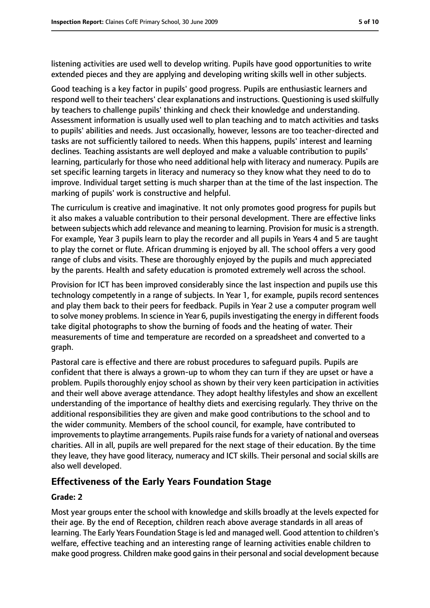listening activities are used well to develop writing. Pupils have good opportunities to write extended pieces and they are applying and developing writing skills well in other subjects.

Good teaching is a key factor in pupils' good progress. Pupils are enthusiastic learners and respond well to their teachers' clear explanations and instructions. Questioning is used skilfully by teachers to challenge pupils' thinking and check their knowledge and understanding. Assessment information is usually used well to plan teaching and to match activities and tasks to pupils' abilities and needs. Just occasionally, however, lessons are too teacher-directed and tasks are not sufficiently tailored to needs. When this happens, pupils' interest and learning declines. Teaching assistants are well deployed and make a valuable contribution to pupils' learning, particularly for those who need additional help with literacy and numeracy. Pupils are set specific learning targets in literacy and numeracy so they know what they need to do to improve. Individual target setting is much sharper than at the time of the last inspection. The marking of pupils' work is constructive and helpful.

The curriculum is creative and imaginative. It not only promotes good progress for pupils but it also makes a valuable contribution to their personal development. There are effective links between subjects which add relevance and meaning to learning. Provision for music is a strength. For example, Year 3 pupils learn to play the recorder and all pupils in Years 4 and 5 are taught to play the cornet or flute. African drumming is enjoyed by all. The school offers a very good range of clubs and visits. These are thoroughly enjoyed by the pupils and much appreciated by the parents. Health and safety education is promoted extremely well across the school.

Provision for ICT has been improved considerably since the last inspection and pupils use this technology competently in a range of subjects. In Year 1, for example, pupils record sentences and play them back to their peers for feedback. Pupils in Year 2 use a computer program well to solve money problems. In science in Year 6, pupils investigating the energy in different foods take digital photographs to show the burning of foods and the heating of water. Their measurements of time and temperature are recorded on a spreadsheet and converted to a graph.

Pastoral care is effective and there are robust procedures to safeguard pupils. Pupils are confident that there is always a grown-up to whom they can turn if they are upset or have a problem. Pupils thoroughly enjoy school as shown by their very keen participation in activities and their well above average attendance. They adopt healthy lifestyles and show an excellent understanding of the importance of healthy diets and exercising regularly. They thrive on the additional responsibilities they are given and make good contributions to the school and to the wider community. Members of the school council, for example, have contributed to improvements to playtime arrangements. Pupils raise funds for a variety of national and overseas charities. All in all, pupils are well prepared for the next stage of their education. By the time they leave, they have good literacy, numeracy and ICT skills. Their personal and social skills are also well developed.

# **Effectiveness of the Early Years Foundation Stage**

#### **Grade: 2**

Most year groups enter the school with knowledge and skills broadly at the levels expected for their age. By the end of Reception, children reach above average standards in all areas of learning. The Early Years Foundation Stage is led and managed well. Good attention to children's welfare, effective teaching and an interesting range of learning activities enable children to make good progress. Children make good gains in their personal and social development because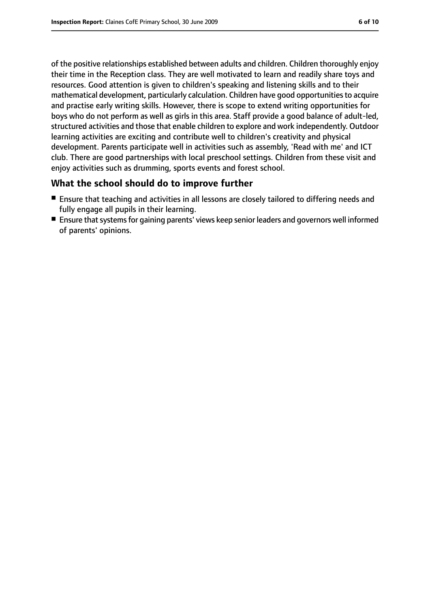of the positive relationships established between adults and children. Children thoroughly enjoy their time in the Reception class. They are well motivated to learn and readily share toys and resources. Good attention is given to children's speaking and listening skills and to their mathematical development, particularly calculation. Children have good opportunitiesto acquire and practise early writing skills. However, there is scope to extend writing opportunities for boys who do not perform as well as girls in this area. Staff provide a good balance of adult-led, structured activities and those that enable children to explore and work independently. Outdoor learning activities are exciting and contribute well to children's creativity and physical development. Parents participate well in activities such as assembly, 'Read with me' and ICT club. There are good partnerships with local preschool settings. Children from these visit and enjoy activities such as drumming, sports events and forest school.

## **What the school should do to improve further**

- Ensure that teaching and activities in all lessons are closely tailored to differing needs and fully engage all pupils in their learning.
- Ensure that systems for gaining parents' views keep senior leaders and governors well informed of parents' opinions.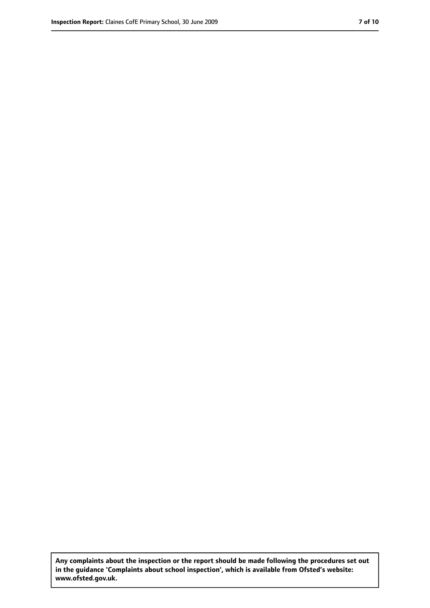**Any complaints about the inspection or the report should be made following the procedures set out in the guidance 'Complaints about school inspection', which is available from Ofsted's website: www.ofsted.gov.uk.**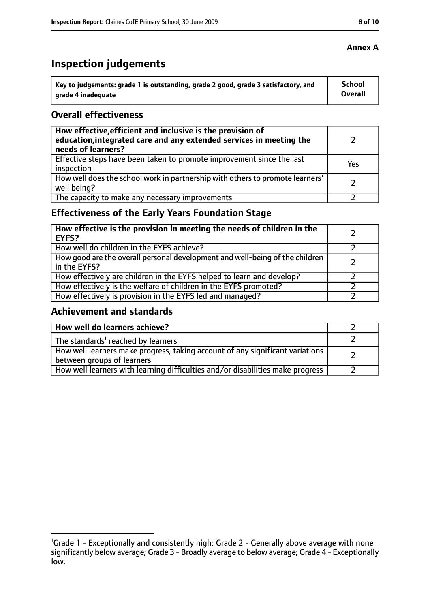# **Inspection judgements**

| key to judgements: grade 1 is outstanding, grade 2 good, grade 3 satisfactory, and ا | School         |
|--------------------------------------------------------------------------------------|----------------|
| arade 4 inadequate                                                                   | <b>Overall</b> |

#### **Overall effectiveness**

| How effective, efficient and inclusive is the provision of<br>education, integrated care and any extended services in meeting the<br>needs of learners? |     |
|---------------------------------------------------------------------------------------------------------------------------------------------------------|-----|
| Effective steps have been taken to promote improvement since the last<br>inspection                                                                     | Yes |
| How well does the school work in partnership with others to promote learners'<br>well being?                                                            |     |
| The capacity to make any necessary improvements                                                                                                         |     |

# **Effectiveness of the Early Years Foundation Stage**

| How effective is the provision in meeting the needs of children in the<br>l EYFS?            |  |
|----------------------------------------------------------------------------------------------|--|
| How well do children in the EYFS achieve?                                                    |  |
| How good are the overall personal development and well-being of the children<br>in the EYFS? |  |
| How effectively are children in the EYFS helped to learn and develop?                        |  |
| How effectively is the welfare of children in the EYFS promoted?                             |  |
| How effectively is provision in the EYFS led and managed?                                    |  |

#### **Achievement and standards**

| How well do learners achieve?                                                  |  |
|--------------------------------------------------------------------------------|--|
| $\vert$ The standards <sup>1</sup> reached by learners                         |  |
| How well learners make progress, taking account of any significant variations  |  |
| between groups of learners                                                     |  |
| How well learners with learning difficulties and/or disabilities make progress |  |

## **Annex A**

<sup>&</sup>lt;sup>1</sup>Grade 1 - Exceptionally and consistently high; Grade 2 - Generally above average with none significantly below average; Grade 3 - Broadly average to below average; Grade 4 - Exceptionally low.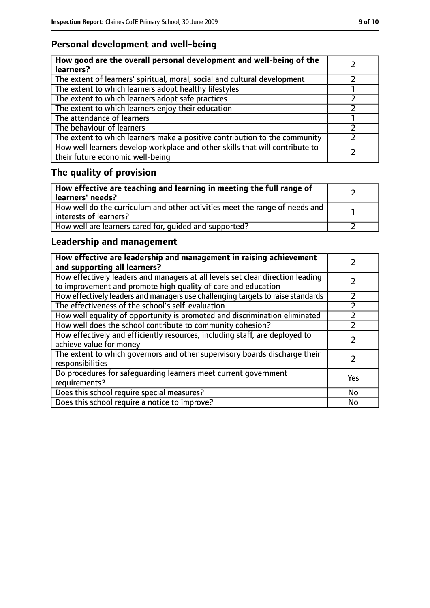# **Personal development and well-being**

| How good are the overall personal development and well-being of the<br>learners?                                 |  |
|------------------------------------------------------------------------------------------------------------------|--|
| The extent of learners' spiritual, moral, social and cultural development                                        |  |
| The extent to which learners adopt healthy lifestyles                                                            |  |
| The extent to which learners adopt safe practices                                                                |  |
| The extent to which learners enjoy their education                                                               |  |
| The attendance of learners                                                                                       |  |
| The behaviour of learners                                                                                        |  |
| The extent to which learners make a positive contribution to the community                                       |  |
| How well learners develop workplace and other skills that will contribute to<br>their future economic well-being |  |

# **The quality of provision**

| How effective are teaching and learning in meeting the full range of<br>learners' needs?              |  |
|-------------------------------------------------------------------------------------------------------|--|
| How well do the curriculum and other activities meet the range of needs and<br>interests of learners? |  |
| How well are learners cared for, quided and supported?                                                |  |

# **Leadership and management**

| How effective are leadership and management in raising achievement<br>and supporting all learners?                                              |     |
|-------------------------------------------------------------------------------------------------------------------------------------------------|-----|
| How effectively leaders and managers at all levels set clear direction leading<br>to improvement and promote high quality of care and education |     |
| How effectively leaders and managers use challenging targets to raise standards                                                                 |     |
| The effectiveness of the school's self-evaluation                                                                                               |     |
| How well equality of opportunity is promoted and discrimination eliminated                                                                      |     |
| How well does the school contribute to community cohesion?                                                                                      |     |
| How effectively and efficiently resources, including staff, are deployed to<br>achieve value for money                                          |     |
| The extent to which governors and other supervisory boards discharge their<br>responsibilities                                                  |     |
| Do procedures for safeguarding learners meet current government<br>requirements?                                                                | Yes |
| Does this school require special measures?                                                                                                      | No  |
| Does this school require a notice to improve?                                                                                                   | No  |